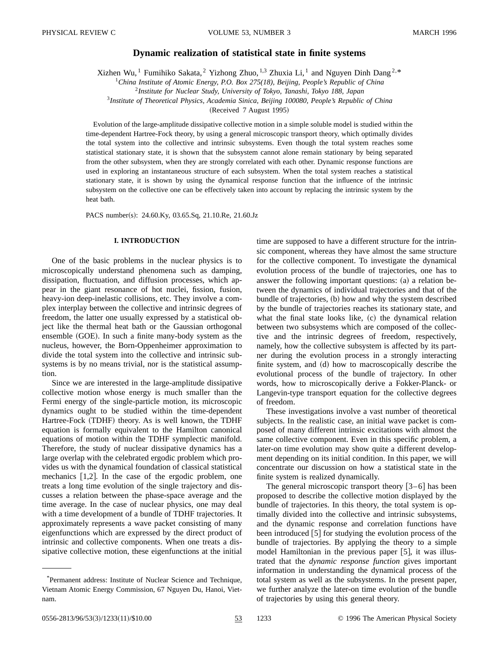# **Dynamic realization of statistical state in finite systems**

Xizhen Wu, <sup>1</sup> Fumihiko Sakata, <sup>2</sup> Yizhong Zhuo, <sup>1,3</sup> Zhuxia Li, <sup>1</sup> and Nguyen Dinh Dang<sup>2,\*</sup>

<sup>1</sup>*China Institute of Atomic Energy, P.O. Box 275(18), Beijing, People's Republic of China*

<sup>2</sup>*Institute for Nuclear Study, University of Tokyo, Tanashi, Tokyo 188, Japan*

<sup>3</sup>*Institute of Theoretical Physics, Academia Sinica, Beijing 100080, People's Republic of China*

(Received 7 August 1995)

Evolution of the large-amplitude dissipative collective motion in a simple soluble model is studied within the time-dependent Hartree-Fock theory, by using a general microscopic transport theory, which optimally divides the total system into the collective and intrinsic subsystems. Even though the total system reaches some statistical stationary state, it is shown that the subsystem cannot alone remain stationary by being separated from the other subsystem, when they are strongly correlated with each other. Dynamic response functions are used in exploring an instantaneous structure of each subsystem. When the total system reaches a statistical stationary state, it is shown by using the dynamical response function that the influence of the intrinsic subsystem on the collective one can be effectively taken into account by replacing the intrinsic system by the heat bath.

PACS number(s): 24.60.Ky, 03.65.Sq, 21.10.Re, 21.60.Jz

## **I. INTRODUCTION**

One of the basic problems in the nuclear physics is to microscopically understand phenomena such as damping, dissipation, fluctuation, and diffusion processes, which appear in the giant resonance of hot nuclei, fission, fusion, heavy-ion deep-inelastic collisions, etc. They involve a complex interplay between the collective and intrinsic degrees of freedom, the latter one usually expressed by a statistical object like the thermal heat bath or the Gaussian orthogonal ensemble (GOE). In such a finite many-body system as the nucleus, however, the Born-Oppenheimer approximation to divide the total system into the collective and intrinsic subsystems is by no means trivial, nor is the statistical assumption.

Since we are interested in the large-amplitude dissipative collective motion whose energy is much smaller than the Fermi energy of the single-particle motion, its microscopic dynamics ought to be studied within the time-dependent Hartree-Fock (TDHF) theory. As is well known, the TDHF equation is formally equivalent to the Hamilton canonical equations of motion within the TDHF symplectic manifold. Therefore, the study of nuclear dissipative dynamics has a large overlap with the celebrated ergodic problem which provides us with the dynamical foundation of classical statistical mechanics  $[1,2]$ . In the case of the ergodic problem, one treats a long time evolution of the single trajectory and discusses a relation between the phase-space average and the time average. In the case of nuclear physics, one may deal with a time development of a bundle of TDHF trajectories. It approximately represents a wave packet consisting of many eigenfunctions which are expressed by the direct product of intrinsic and collective components. When one treats a dissipative collective motion, these eigenfunctions at the initial

time are supposed to have a different structure for the intrinsic component, whereas they have almost the same structure for the collective component. To investigate the dynamical evolution process of the bundle of trajectories, one has to answer the following important questions:  $(a)$  a relation between the dynamics of individual trajectories and that of the bundle of trajectories,  $(b)$  how and why the system described by the bundle of trajectories reaches its stationary state, and what the final state looks like,  $(c)$  the dynamical relation between two subsystems which are composed of the collective and the intrinsic degrees of freedom, respectively, namely, how the collective subsystem is affected by its partner during the evolution process in a strongly interacting finite system, and (d) how to macroscopically describe the evolutional process of the bundle of trajectory. In other words, how to microscopically derive a Fokker-Planck- or Langevin-type transport equation for the collective degrees of freedom.

These investigations involve a vast number of theoretical subjects. In the realistic case, an initial wave packet is composed of many different intrinsic excitations with almost the same collective component. Even in this specific problem, a later-on time evolution may show quite a different development depending on its initial condition. In this paper, we will concentrate our discussion on how a statistical state in the finite system is realized dynamically.

The general microscopic transport theory  $[3-6]$  has been proposed to describe the collective motion displayed by the bundle of trajectories. In this theory, the total system is optimally divided into the collective and intrinsic subsystems, and the dynamic response and correlation functions have been introduced  $[5]$  for studying the evolution process of the bundle of trajectories. By applying the theory to a simple model Hamiltonian in the previous paper  $[5]$ , it was illustrated that the *dynamic response function* gives important information in understanding the dynamical process of the total system as well as the subsystems. In the present paper, we further analyze the later-on time evolution of the bundle of trajectories by using this general theory.

0556-2813/96/53(3)/1233(11)/\$10.00 53 1233 © 1996 The American Physical Society

<sup>\*</sup> Permanent address: Institute of Nuclear Science and Technique, Vietnam Atomic Energy Commission, 67 Nguyen Du, Hanoi, Vietnam.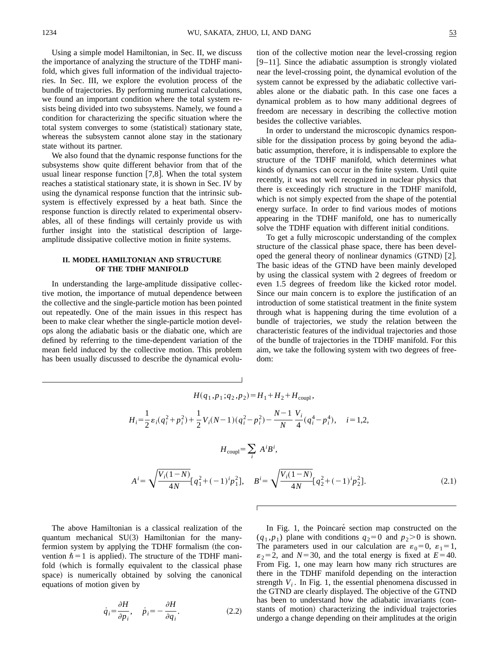Using a simple model Hamiltonian, in Sec. II, we discuss the importance of analyzing the structure of the TDHF manifold, which gives full information of the individual trajectories. In Sec. III, we explore the evolution process of the bundle of trajectories. By performing numerical calculations, we found an important condition where the total system resists being divided into two subsystems. Namely, we found a condition for characterizing the specific situation where the total system converges to some (statistical) stationary state, whereas the subsystem cannot alone stay in the stationary state without its partner.

We also found that the dynamic response functions for the subsystems show quite different behavior from that of the usual linear response function  $[7,8]$ . When the total system reaches a statistical stationary state, it is shown in Sec. IV by using the dynamical response function that the intrinsic subsystem is effectively expressed by a heat bath. Since the response function is directly related to experimental observables, all of these findings will certainly provide us with further insight into the statistical description of largeamplitude dissipative collective motion in finite systems.

## **II. MODEL HAMILTONIAN AND STRUCTURE OF THE TDHF MANIFOLD**

In understanding the large-amplitude dissipative collective motion, the importance of mutual dependence between the collective and the single-particle motion has been pointed out repeatedly. One of the main issues in this respect has been to make clear whether the single-particle motion develops along the adiabatic basis or the diabatic one, which are defined by referring to the time-dependent variation of the mean field induced by the collective motion. This problem has been usually discussed to describe the dynamical evolution of the collective motion near the level-crossing region  $[9-11]$ . Since the adiabatic assumption is strongly violated near the level-crossing point, the dynamical evolution of the system cannot be expressed by the adiabatic collective variables alone or the diabatic path. In this case one faces a dynamical problem as to how many additional degrees of freedom are necessary in describing the collective motion besides the collective variables.

In order to understand the microscopic dynamics responsible for the dissipation process by going beyond the adiabatic assumption, therefore, it is indispensable to explore the structure of the TDHF manifold, which determines what kinds of dynamics can occur in the finite system. Until quite recently, it was not well recognized in nuclear physics that there is exceedingly rich structure in the TDHF manifold, which is not simply expected from the shape of the potential energy surface. In order to find various modes of motions appearing in the TDHF manifold, one has to numerically solve the TDHF equation with different initial conditions.

To get a fully microscopic understanding of the complex structure of the classical phase space, there has been developed the general theory of nonlinear dynamics  $(GTND)$  [2]. The basic ideas of the GTND have been mainly developed by using the classical system with 2 degrees of freedom or even 1.5 degrees of freedom like the kicked rotor model. Since our main concern is to explore the justification of an introduction of some statistical treatment in the finite system through what is happening during the time evolution of a bundle of trajectories, we study the relation between the characteristic features of the individual trajectories and those of the bundle of trajectories in the TDHF manifold. For this aim, we take the following system with two degrees of freedom:

$$
H(q_1, p_1; q_2, p_2) = H_1 + H_2 + H_{\text{coupl}},
$$
  
\n
$$
H_i = \frac{1}{2} \varepsilon_i (q_i^2 + p_i^2) + \frac{1}{2} V_i (N - 1)(q_i^2 - p_i^2) - \frac{N - 1}{N} \frac{V_i}{4} (q_i^4 - p_i^4), \quad i = 1, 2,
$$
  
\n
$$
H_{\text{coupl}} = \sum_i A^i B^i,
$$
  
\n
$$
A^i = \sqrt{\frac{V_i (1 - N)}{4N}} [q_1^2 + (-1)^i p_1^2], \quad B^i = \sqrt{\frac{V_i (1 - N)}{4N}} [q_2^2 + (-1)^i p_2^2].
$$
\n(2.1)

The above Hamiltonian is a classical realization of the quantum mechanical  $SU(3)$  Hamiltonian for the manyfermion system by applying the TDHF formalism (the convention  $\hbar = 1$  is applied). The structure of the TDHF manifold (which is formally equivalent to the classical phase space) is numerically obtained by solving the canonical equations of motion given by

$$
\dot{q}_i = \frac{\partial H}{\partial p_i}, \quad \dot{p}_i = -\frac{\partial H}{\partial q_i}.
$$
 (2.2)

In Fig. 1, the Poincaré section map constructed on the  $(q_1, p_1)$  plane with conditions  $q_2=0$  and  $p_2>0$  is shown. The parameters used in our calculation are  $\varepsilon_0=0$ ,  $\varepsilon_1=1$ ,  $\varepsilon_2 = 2$ , and *N*=30, and the total energy is fixed at *E*=40. From Fig. 1, one may learn how many rich structures are there in the TDHF manifold depending on the interaction strength  $V_i$ . In Fig. 1, the essential phenomena discussed in the GTND are clearly displayed. The objective of the GTND has been to understand how the adiabatic invariants (constants of motion) characterizing the individual trajectories undergo a change depending on their amplitudes at the origin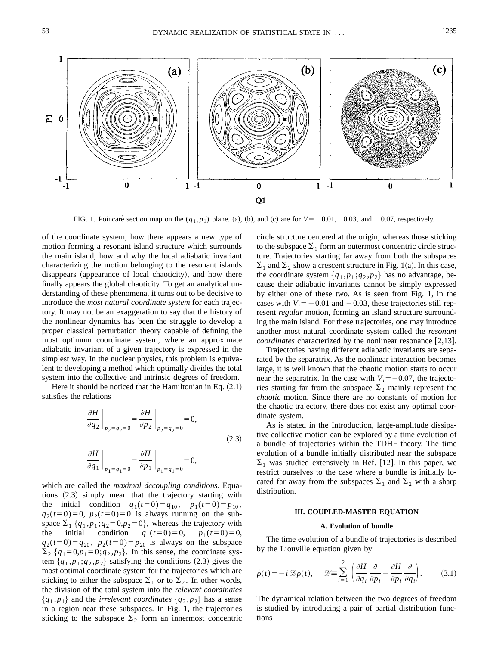



FIG. 1. Poincaré section map on the  $(q_1, p_1)$  plane. (a), (b), and (c) are for  $V = -0.01, -0.03$ , and  $-0.07$ , respectively.

of the coordinate system, how there appears a new type of motion forming a resonant island structure which surrounds the main island, how and why the local adiabatic invariant characterizing the motion belonging to the resonant islands disappears (appearance of local chaoticity), and how there finally appears the global chaoticity. To get an analytical understanding of these phenomena, it turns out to be decisive to introduce the *most natural coordinate system* for each trajectory. It may not be an exaggeration to say that the history of the nonlinear dynamics has been the struggle to develop a proper classical perturbation theory capable of defining the most optimum coordinate system, where an approximate adiabatic invariant of a given trajectory is expressed in the simplest way. In the nuclear physics, this problem is equivalent to developing a method which optimally divides the total system into the collective and intrinsic degrees of freedom.

Here it should be noticed that the Hamiltonian in Eq.  $(2.1)$ satisfies the relations

$$
\frac{\partial H}{\partial q_2}\Big|_{p_2=q_2=0} = \frac{\partial H}{\partial p_2}\Big|_{p_2=q_2=0} = 0,
$$
\n
$$
\frac{\partial H}{\partial q_1}\Big|_{p_1=q_1=0} = \frac{\partial H}{\partial p_1}\Big|_{p_1=q_1=0} = 0,
$$
\n(2.3)

which are called the *maximal decoupling conditions*. Equations  $(2.3)$  simply mean that the trajectory starting with the initial condition  $q_1(t=0) = q_{10}$ ,  $p_1(t=0) = p_{10}$ ,  $q_2(t=0)=0$ ,  $p_2(t=0)=0$  is always running on the subspace  $\Sigma_1$  { $q_1$ , $p_1$ ; $q_2$ =0, $p_2$ =0}, whereas the trajectory with the initial condition  $q_1(t=0)=0$ ,  $p_1(t=0)=0$ ,  $q_2(t=0) = q_{20}$ ,  $p_2(t=0) = p_{20}$  is always on the subspace  $\Sigma_2$  { $q_1=0, p_1=0; q_2, p_2$ }. In this sense, the coordinate system  ${q_1, p_1; q_2, p_2}$  satisfying the conditions (2.3) gives the most optimal coordinate system for the trajectories which are sticking to either the subspace  $\Sigma_1$  or to  $\Sigma_2$ . In other words, the division of the total system into the *relevant coordinates*  ${q_1, p_1}$  and the *irrelevant coordinates*  ${q_2, p_2}$  has a sense in a region near these subspaces. In Fig. 1, the trajectories sticking to the subspace  $\Sigma_2$  form an innermost concentric circle structure centered at the origin, whereas those sticking to the subspace  $\Sigma_1$  form an outermost concentric circle structure. Trajectories starting far away from both the subspaces  $\Sigma_1$  and  $\Sigma_2$  show a crescent structure in Fig. 1(a). In this case, the coordinate system  $\{q_1, p_1; q_2, p_2\}$  has no advantage, because their adiabatic invariants cannot be simply expressed by either one of these two. As is seen from Fig. 1, in the cases with  $V_i = -0.01$  and  $-0.03$ , these trajectories still represent *regular* motion, forming an island structure surrounding the main island. For these trajectories, one may introduce another most natural coordinate system called the *resonant coordinates* characterized by the nonlinear resonance [2,13].

Trajectories having different adiabatic invariants are separated by the separatrix. As the nonlinear interaction becomes large, it is well known that the chaotic motion starts to occur near the separatrix. In the case with  $V_i = -0.07$ , the trajectories starting far from the subspace  $\Sigma_2$  mainly represent the *chaotic* motion. Since there are no constants of motion for the chaotic trajectory, there does not exist any optimal coordinate system.

As is stated in the Introduction, large-amplitude dissipative collective motion can be explored by a time evolution of a bundle of trajectories within the TDHF theory. The time evolution of a bundle initially distributed near the subspace  $\Sigma_1$  was studied extensively in Ref. [12]. In this paper, we restrict ourselves to the case where a bundle is initially located far away from the subspaces  $\Sigma_1$  and  $\Sigma_2$  with a sharp distribution.

#### **III. COUPLED-MASTER EQUATION**

### **A. Evolution of bundle**

The time evolution of a bundle of trajectories is described by the Liouville equation given by

$$
\dot{\rho}(t) = -i\mathcal{L}\rho(t), \quad \mathcal{L} = \sum_{i=1}^{2} \left( \frac{\partial H}{\partial q_i} \frac{\partial}{\partial p_i} - \frac{\partial H}{\partial p_i} \frac{\partial}{\partial q_i} \right). \tag{3.1}
$$

The dynamical relation between the two degrees of freedom is studied by introducing a pair of partial distribution functions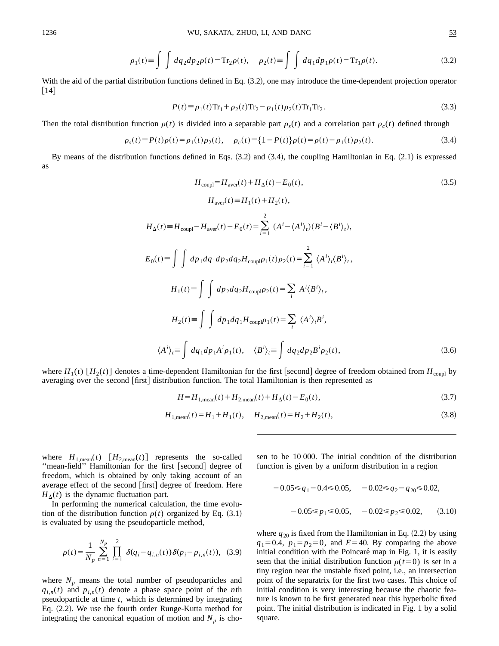$$
\rho_1(t) \equiv \int \int dq_2 dp_2 \rho(t) = \text{Tr}_2 \rho(t), \quad \rho_2(t) \equiv \int \int dq_1 dp_1 \rho(t) = \text{Tr}_1 \rho(t). \tag{3.2}
$$

With the aid of the partial distribution functions defined in Eq.  $(3.2)$ , one may introduce the time-dependent projection operator  $\lceil 14 \rceil$ 

$$
P(t) \equiv \rho_1(t) \text{Tr}_1 + \rho_2(t) \text{Tr}_2 - \rho_1(t) \rho_2(t) \text{Tr}_1 \text{Tr}_2. \tag{3.3}
$$

Then the total distribution function  $\rho(t)$  is divided into a separable part  $\rho_s(t)$  and a correlation part  $\rho_c(t)$  defined through

$$
\rho_s(t) \equiv P(t)\rho(t) = \rho_1(t)\rho_2(t), \quad \rho_c(t) \equiv \{1 - P(t)\}\rho(t) = \rho(t) - \rho_1(t)\rho_2(t). \tag{3.4}
$$

By means of the distribution functions defined in Eqs.  $(3.2)$  and  $(3.4)$ , the coupling Hamiltonian in Eq.  $(2.1)$  is expressed as

$$
H_{\text{coup}} = H_{\text{aver}}(t) + H_{\Delta}(t) - E_0(t),
$$
\n
$$
H_{\text{aver}}(t) = H_1(t) + H_2(t),
$$
\n
$$
H_{\Delta}(t) = H_{\text{coup}} - H_{\text{aver}}(t) + E_0(t) = \sum_{i=1}^{2} (A^i - \langle A^i \rangle_t)(B^i - \langle B^i \rangle_t),
$$
\n
$$
E_0(t) = \int \int dp_1 dq_1 dp_2 dq_2 H_{\text{coup}} \rho_1(t) \rho_2(t) = \sum_{i=1}^{2} \langle A^i \rangle_t \langle B^i \rangle_t,
$$
\n
$$
H_1(t) = \int \int dp_2 dq_2 H_{\text{coup}} \rho_2(t) = \sum_i A^i \langle B^i \rangle_t,
$$
\n
$$
H_2(t) = \int \int dp_1 dq_1 H_{\text{coup}} \rho_1(t) = \sum_i \langle A^i \rangle_i B^i,
$$
\n
$$
\langle A^i \rangle_i = \int dq_1 dp_1 A^i \rho_1(t), \quad \langle B^i \rangle_i = \int dq_2 dp_2 B^i \rho_2(t),
$$
\n(3.6)

where  $H_1(t)$   $[H_2(t)]$  denotes a time-dependent Hamiltonian for the first [second] degree of freedom obtained from  $H_{\text{coupl}}$  by averaging over the second [first] distribution function. The total Hamiltonian is then represented as

$$
H = H_{1, \text{mean}}(t) + H_{2, \text{mean}}(t) + H_{\Delta}(t) - E_0(t),
$$
\n(3.7)

$$
H_{1,\text{mean}}(t) = H_1 + H_1(t), \quad H_{2,\text{mean}}(t) = H_2 + H_2(t),\tag{3.8}
$$

where  $H_{1,\text{mean}}(t)$   $[H_{2,\text{mean}}(t)]$  represents the so-called "mean-field" Hamiltonian for the first [second] degree of freedom, which is obtained by only taking account of an average effect of the second [first] degree of freedom. Here  $H_{\Lambda}(t)$  is the dynamic fluctuation part.

In performing the numerical calculation, the time evolution of the distribution function  $\rho(t)$  organized by Eq.  $(3.1)$ is evaluated by using the pseudoparticle method,

$$
\rho(t) = \frac{1}{N_p} \sum_{n=1}^{N_p} \prod_{i=1}^{2} \delta(q_i - q_{i,n}(t)) \delta(p_i - p_{i,n}(t)), \tag{3.9}
$$

where  $N_p$  means the total number of pseudoparticles and  $q_{i,n}(t)$  and  $p_{i,n}(t)$  denote a phase space point of the *n*th pseudoparticle at time *t*, which is determined by integrating Eq.  $(2.2)$ . We use the fourth order Runge-Kutta method for integrating the canonical equation of motion and  $N_p$  is chosen to be 10 000. The initial condition of the distribution function is given by a uniform distribution in a region

$$
-0.05 \le q_1 - 0.4 \le 0.05, \quad -0.02 \le q_2 - q_{20} \le 0.02,
$$
  

$$
-0.05 \le p_1 \le 0.05, \quad -0.02 \le p_2 \le 0.02, \quad (3.10)
$$

where  $q_{20}$  is fixed from the Hamiltonian in Eq.  $(2.2)$  by using  $q_1=0.4$ ,  $p_1=p_2=0$ , and  $E=40$ . By comparing the above initial condition with the Poincaré map in Fig. 1, it is easily seen that the initial distribution function  $\rho(t=0)$  is set in a tiny region near the unstable fixed point, i.e., an intersection point of the separatrix for the first two cases. This choice of initial condition is very interesting because the chaotic feature is known to be first generated near this hyperbolic fixed point. The initial distribution is indicated in Fig. 1 by a solid square.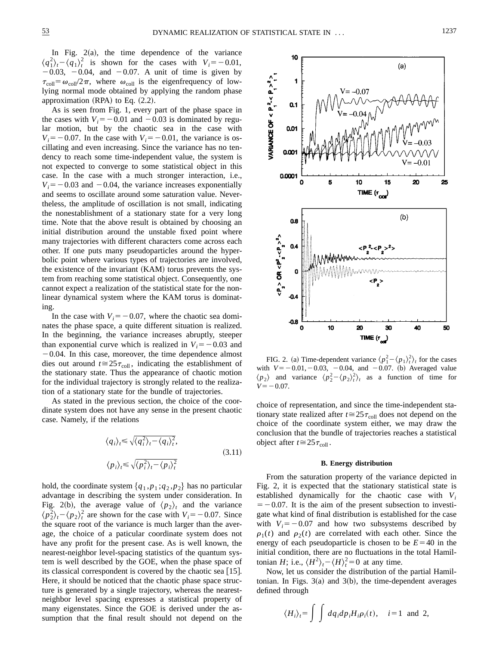In Fig.  $2(a)$ , the time dependence of the variance  $\langle q_1^2 \rangle_t - \langle q_1 \rangle_t^2$  is shown for the cases with  $V_i = -0.01$ ,  $-0.03$ ,  $-0.04$ , and  $-0.07$ . A unit of time is given by  $\tau_{\text{coll}} = \omega_{\text{coll}}/2\pi$ , where  $\omega_{\text{coll}}$  is the eigenfrequency of lowlying normal mode obtained by applying the random phase approximation  $(RPA)$  to Eq.  $(2.2)$ .

As is seen from Fig. 1, every part of the phase space in the cases with  $V_i = -0.01$  and  $-0.03$  is dominated by regular motion, but by the chaotic sea in the case with  $V_i = -0.07$ . In the case with  $V_i = -0.01$ , the variance is oscillating and even increasing. Since the variance has no tendency to reach some time-independent value, the system is not expected to converge to some statistical object in this case. In the case with a much stronger interaction, i.e.,  $V_i = -0.03$  and  $-0.04$ , the variance increases exponentially and seems to oscillate around some saturation value. Nevertheless, the amplitude of oscillation is not small, indicating the nonestablishment of a stationary state for a very long time. Note that the above result is obtained by choosing an initial distribution around the unstable fixed point where many trajectories with different characters come across each other. If one puts many pseudoparticles around the hyperbolic point where various types of trajectories are involved, the existence of the invariant  $(KAM)$  torus prevents the system from reaching some statistical object. Consequently, one cannot expect a realization of the statistical state for the nonlinear dynamical system where the KAM torus is dominating.

In the case with  $V_i = -0.07$ , where the chaotic sea dominates the phase space, a quite different situation is realized. In the beginning, the variance increases abruptly, steeper than exponential curve which is realized in  $V_i = -0.03$  and  $-0.04$ . In this case, moreover, the time dependence almost dies out around  $t \approx 25 \tau_{\text{coll}}$ , indicating the establishment of the stationary state. Thus the appearance of chaotic motion for the individual trajectory is strongly related to the realization of a stationary state for the bundle of trajectories.

As stated in the previous section, the choice of the coordinate system does not have any sense in the present chaotic case. Namely, if the relations

$$
\langle q_i \rangle_t \le \sqrt{\langle q_i^2 \rangle_t - \langle q_i \rangle_t^2},
$$
  
\n
$$
\langle p_i \rangle_t \le \sqrt{\langle p_i^2 \rangle_t - \langle p_i \rangle_t^2}
$$
\n(3.11)

hold, the coordinate system  $\{q_1, p_1; q_2, p_2\}$  has no particular advantage in describing the system under consideration. In Fig. 2(b), the average value of  $\langle p_2 \rangle_t$  and the variance  $\langle p_2^2 \rangle_t - \langle p_2 \rangle_t^2$  are shown for the case with  $V_i = -0.07$ . Since the square root of the variance is much larger than the average, the choice of a paticular coordinate system does not have any profit for the present case. As is well known, the nearest-neighbor level-spacing statistics of the quantum system is well described by the GOE, when the phase space of its classical correspondent is covered by the chaotic sea  $[15]$ . Here, it should be noticed that the chaotic phase space structure is generated by a single trajectory, whereas the nearestneighbor level spacing expresses a statistical property of many eigenstates. Since the GOE is derived under the assumption that the final result should not depend on the



FIG. 2. (a) Time-dependent variance  $\langle p_1^2 - \langle p_1 \rangle_t^2$  for the cases with  $V = -0.01, -0.03, -0.04,$  and  $-0.07$ . (b) Averaged value  $\langle p_2 \rangle$  and variance  $\langle p_2^2 - \langle p_2 \rangle_t^2$  as a function of time for  $V = -0.07$ .

choice of representation, and since the time-independent stationary state realized after  $t \approx 25 \tau_{\text{coll}}$  does not depend on the choice of the coordinate system either, we may draw the conclusion that the bundle of trajectories reaches a statistical object after  $t \approx 25 \tau_{\text{coll}}$ .

#### **B. Energy distribution**

From the saturation property of the variance depicted in Fig. 2, it is expected that the stationary statistical state is established dynamically for the chaotic case with *Vi*  $=$  -0.07. It is the aim of the present subsection to investigate what kind of final distribution is established for the case with  $V_i = -0.07$  and how two subsystems described by  $\rho_1(t)$  and  $\rho_2(t)$  are correlated with each other. Since the energy of each pseudoparticle is chosen to be  $E=40$  in the initial condition, there are no fluctuations in the total Hamiltonian *H*; i.e.,  $\langle H^2 \rangle_t - \langle H \rangle_t^2 = 0$  at any time.

Now, let us consider the distribution of the partial Hamiltonian. In Figs.  $3(a)$  and  $3(b)$ , the time-dependent averages defined through

$$
\langle H_i \rangle_i = \int \int dq_i dp_i H_i \rho_i(t), \quad i = 1 \text{ and } 2,
$$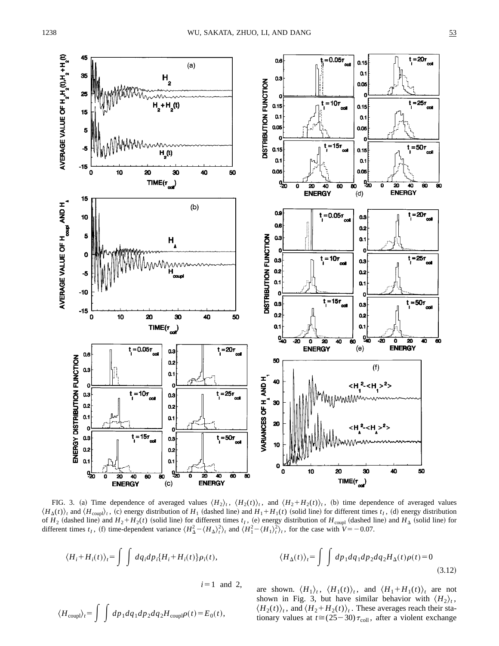

FIG. 3. (a) Time dependence of averaged values  $\langle H_2 \rangle_t$ ,  $\langle H_2(t) \rangle_t$ , and  $\langle H_2 + H_2(t) \rangle_t$ , (b) time dependence of averaged values  $\langle H_{\Delta}(t) \rangle_t$  and  $\langle H_{\text{coup}} \rangle_t$ , (c) energy distribution of  $H_1$  (dashed line) and  $H_1 + H_1(t)$  (solid line) for different times  $t_I$ , (d) energy distribution of  $H_2$  (dashed line) and  $H_2 + H_2(t)$  (solid line) for different times  $t_I$ , (e) energy distribution of  $H_{\text{coupl}}$  (dashed line) and  $H_{\Delta}$  (solid line) for different times  $t_I$ , (f) time-dependent variance  $\langle H_\Delta^2 - \langle H_\Delta \rangle_t^2 \rangle_t$  and  $\langle H_1^2 - \langle H_1 \rangle_t^2 \rangle_t$ , for the case with  $V = -0.07$ .

$$
\langle H_i + H_i(t) \rangle_t = \int \int dq_i dp_i \{ H_i + H_i(t) \} \rho_i(t), \qquad \langle H_\Delta(t) \rangle_t = \int \int dp_1 dq_1 dp_2 dq_2 H_\Delta(t) \rho(t) = 0 \tag{3.12}
$$

 $i=1$  and 2,

$$
\langle H_{\text{coupl}} \rangle_t = \int \int dp_1 dq_1 dp_2 dq_2 H_{\text{coupl}} \rho(t) = E_0(t),
$$

$$
\langle H_{\Delta}(t) \rangle_{t} = \int \int dp_{1} dq_{1} dp_{2} dq_{2} H_{\Delta}(t) \rho(t) = 0
$$
\n(3.12)

are shown.  $\langle H_1 \rangle_t$ ,  $\langle H_1(t) \rangle_t$ , and  $\langle H_1 + H_1(t) \rangle_t$  are not shown in Fig. 3, but have similar behavior with  $\langle H_2 \rangle_t$ ,  $\langle H_2(t) \rangle_t$ , and  $\langle H_2 + H_2(t) \rangle_t$ . These averages reach their stationary values at  $t \approx (25-30)\tau_{\text{coll}}$ , after a violent exchange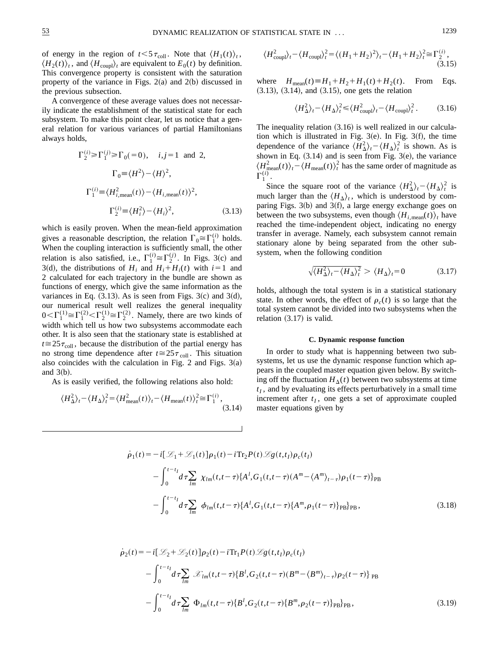of energy in the region of  $t < 5\tau_{\text{coll}}$ . Note that  $\langle H_1(t) \rangle_t$ ,  $\langle H_2(t) \rangle_t$ , and  $\langle H_{\text{coupl}} \rangle_t$  are equivalent to  $E_0(t)$  by definition. This convergence property is consistent with the saturation property of the variance in Figs.  $2(a)$  and  $2(b)$  discussed in the previous subsection.

A convergence of these average values does not necessarily indicate the establishment of the statistical state for each subsystem. To make this point clear, let us notice that a general relation for various variances of partial Hamiltonians always holds,

$$
\Gamma_2^{(i)} \ge \Gamma_1^{(j)} \ge \Gamma_0 (=0), \quad i, j = 1 \text{ and } 2,
$$

$$
\Gamma_0 = \langle H^2 \rangle - \langle H \rangle^2,
$$

$$
\Gamma_1^{(i)} \equiv \langle H_{i, \text{mean}}^2(t) \rangle - \langle H_{i, \text{mean}}(t) \rangle^2,
$$

$$
\Gamma_2^{(i)} \equiv \langle H_i^2 \rangle - \langle H_i \rangle^2,
$$
(3.13)

which is easily proven. When the mean-field approximation gives a reasonable description, the relation  $\Gamma_0 \cong \Gamma_1^{(i)}$  holds. When the coupling interaction is sufficiently small, the other relation is also satisfied, i.e.,  $\Gamma_1^{(i)} \cong \Gamma_2^{(j)}$ . In Figs. 3(c) and 3(d), the distributions of  $H_i$  and  $H_i + H_i(t)$  with  $i=1$  and 2 calculated for each trajectory in the bundle are shown as functions of energy, which give the same information as the variances in Eq.  $(3.13)$ . As is seen from Figs. 3 $(c)$  and 3 $(d)$ , our numerical result well realizes the general inequality  $0 < \Gamma_1^{(1)} \cong \Gamma_1^{(2)} < \Gamma_2^{(1)} \cong \Gamma_2^{(2)}$ . Namely, there are two kinds of width which tell us how two subsystems accommodate each other. It is also seen that the stationary state is established at  $t \approx 25 \tau_{\text{coll}}$ , because the distribution of the partial energy has no strong time dependence after  $t \approx 25\tau_{\text{coll}}$ . This situation also coincides with the calculation in Fig. 2 and Figs.  $3(a)$ and  $3(b)$ .

As is easily verified, the following relations also hold:

$$
\langle H_{\Delta}^2 \rangle_t - \langle H_{\Delta} \rangle_t^2 = \langle H_{\text{mean}}^2(t) \rangle_t - \langle H_{\text{mean}}(t) \rangle_t^2 \cong \Gamma_1^{(i)}, \tag{3.14}
$$

$$
\langle H_{\text{coupl}}^2 \rangle_t - \langle H_{\text{coupl}} \rangle_t^2 = \langle (H_1 + H_2)^2 \rangle_t - \langle H_1 + H_2 \rangle_t^2 \cong \Gamma_2^{(i)},
$$
\n(3.15)

where  $H_{\text{mean}}(t) \equiv H_1 + H_2 + H_1(t) + H_2(t)$ . From Eqs.  $(3.13)$ ,  $(3.14)$ , and  $(3.15)$ , one gets the relation

$$
\langle H_{\Delta}^2 \rangle_t - \langle H_{\Delta} \rangle_t^2 \le \langle H_{\text{coupl}}^2 \rangle_t - \langle H_{\text{coupl}} \rangle_t^2. \tag{3.16}
$$

The inequality relation  $(3.16)$  is well realized in our calculation which is illustrated in Fig. 3 $(e)$ . In Fig. 3 $(f)$ , the time dependence of the variance  $\langle H_{\Delta}^2 \rangle_t - \langle H_{\Delta} \rangle_t^2$  is shown. As is shown in Eq.  $(3.14)$  and is seen from Fig. 3(e), the variance  $\langle H_{\text{mean}}^2(t)\rangle_t - \langle H_{\text{mean}}(t)\rangle_t^2$  has the same order of magnitude as  $\Gamma_1^{(i)}$  .

Since the square root of the variance  $\langle H_{\Delta}^2 \rangle_t - \langle H_{\Delta} \rangle_t^2$  is much larger than the  $\langle H_{\Delta} \rangle_t$ , which is understood by comparing Figs.  $3(b)$  and  $3(f)$ , a large energy exchange goes on between the two subsystems, even though  $\langle H_{i,\text{mean}}(t)\rangle_t$  have reached the time-independent object, indicating no energy transfer in average. Namely, each subsystem cannot remain stationary alone by being separated from the other subsystem, when the following condition

$$
\sqrt{\langle H_{\Delta}^2 \rangle_t - \langle H_{\Delta} \rangle_t^2} > \langle H_{\Delta} \rangle_t = 0 \tag{3.17}
$$

holds, although the total system is in a statistical stationary state. In other words, the effect of  $\rho_c(t)$  is so large that the total system cannot be divided into two subsystems when the relation  $(3.17)$  is valid.

## **C. Dynamic response function**

In order to study what is happenning between two subsystems, let us use the dynamic response function which appears in the coupled master equation given below. By switching off the fluctuation  $H_{\Delta}(t)$  between two subsystems at time  $t_I$ , and by evaluating its effects perturbatively in a small time increment after  $t_I$ , one gets a set of approximate coupled master equations given by

$$
\dot{\rho}_1(t) = -i[\mathcal{L}_1 + \mathcal{L}_1(t)]\rho_1(t) - i\text{Tr}_2 P(t) \mathcal{L}_g(t, t_1)\rho_c(t_1)
$$
  
\n
$$
- \int_0^{t-t_1} d\tau \sum_{lm} \chi_{lm}(t, t - \tau) \{A^l, G_1(t, t - \tau) (A^m - \langle A^m \rangle_{t-\tau}) \rho_1(t - \tau) \}_{PB}
$$
  
\n
$$
- \int_0^{t-t_1} d\tau \sum_{lm} \phi_{lm}(t, t - \tau) \{A^l, G_1(t, t - \tau) \{A^m, \rho_1(t - \tau) \}_{PB}\}_{PB},
$$
\n(3.18)

$$
\dot{\rho}_2(t) = -i[\mathcal{L}_2 + \mathcal{L}_2(t)]\rho_2(t) - i\text{Tr}_1 P(t) \mathcal{L}_g(t, t_1)\rho_c(t_1)
$$
  
 
$$
- \int_0^{t-t_1} d\tau \sum_{lm} \mathcal{L}_{lm}(t, t-\tau) \{B^l, G_2(t, t-\tau) (B^m - \langle B^m \rangle_{t-\tau}) \rho_2(t-\tau)\}_{PB}
$$
  
 
$$
- \int_0^{t-t_1} d\tau \sum_{lm} \Phi_{lm}(t, t-\tau) \{B^l, G_2(t, t-\tau) \{B^m, \rho_2(t-\tau)\}_{PB}\}_{PB}, \qquad (3.19)
$$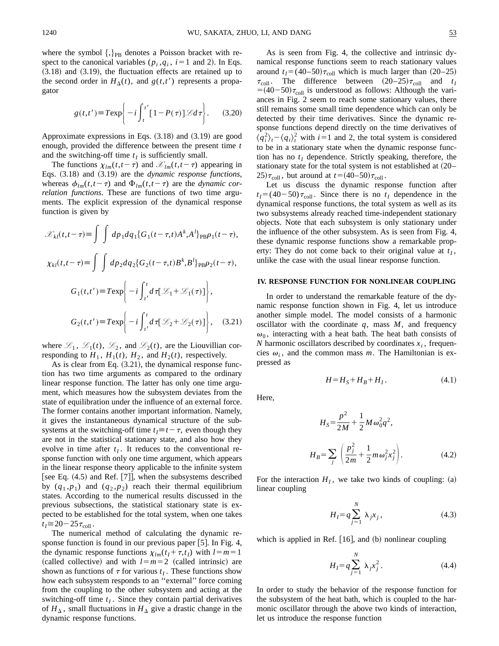where the symbol  $\{,\}_{PB}$  denotes a Poisson bracket with respect to the canonical variables ( $p_i$ , $q_i$ ,  $i=1$  and 2). In Eqs.  $(3.18)$  and  $(3.19)$ , the fluctuation effects are retained up to the second order in  $H_{\Delta}(t)$ , and  $g(t,t')$  represents a propagator

$$
g(t,t') = T \exp\biggl\{-i \int_t^{t'} [1 - P(\tau)] \mathcal{L} d\tau\biggr\}.
$$
 (3.20)

Approximate expressions in Eqs.  $(3.18)$  and  $(3.19)$  are good enough, provided the difference between the present time *t* and the switching-off time  $t_I$  is sufficiently small.

The functions  $\chi_{lm}(t,t-\tau)$  and  $\mathcal{L}_{lm}(t,t-\tau)$  appearing in Eqs.  $(3.18)$  and  $(3.19)$  are the *dynamic response functions*, whereas  $\phi_{lm}(t,t-\tau)$  and  $\Phi_{lm}(t,t-\tau)$  are the *dynamic correlation functions*. These are functions of two time arguments. The explicit expression of the dynamical response function is given by

$$
\mathcal{L}_{kl}(t, t-\tau) \equiv \int \int dp_1 dq_1 \{G_1(t-\tau, t)A^k, A^l\}_{PB} \rho_1(t-\tau),
$$
  

$$
\chi_{kl}(t, t-\tau) \equiv \int \int dp_2 dq_2 \{G_2(t-\tau, t)B^k, B^l\}_{PB} \rho_2(t-\tau),
$$
  

$$
G_1(t, t') \equiv T \exp\left\{-i \int_{t'}^t d\tau [\mathcal{L}_1 + \mathcal{L}_1(\tau)]\right\},
$$
  

$$
G_2(t, t') \equiv T \exp\left\{-i \int_{t'}^t d\tau [\mathcal{L}_2 + \mathcal{L}_2(\tau)]\right\}, \quad (3.21)
$$

where  $\mathcal{L}_1$ ,  $\mathcal{L}_1(t)$ ,  $\mathcal{L}_2$ , and  $\mathcal{L}_2(t)$ , are the Liouvillian corresponding to  $H_1$ ,  $H_1(t)$ ,  $H_2$ , and  $H_2(t)$ , respectively.

As is clear from Eq.  $(3.21)$ , the dynamical response function has two time arguments as compared to the ordinary linear response function. The latter has only one time argument, which measures how the subsystem deviates from the state of equilibration under the influence of an external force. The former contains another important information. Namely, it gives the instantaneous dynamical structure of the subsystems at the switching-off time  $t_1 \equiv t - \tau$ , even though they are not in the statistical stationary state, and also how they evolve in time after  $t<sub>I</sub>$ . It reduces to the conventional response function with only one time argument, which appears in the linear response theory applicable to the infinite system [see Eq.  $(4.5)$  and Ref. [7]], when the subsystems described by  $(q_1, p_1)$  and  $(q_2, p_2)$  reach their thermal equilibrium states. According to the numerical results discussed in the previous subsections, the statistical stationary state is expected to be established for the total system, when one takes  $t_I \approx 20-25\tau_{\rm coll}$ .

The numerical method of calculating the dynamic response function is found in our previous paper  $[5]$ . In Fig. 4, the dynamic response functions  $\chi_{lm}(t_1+\tau,t_1)$  with  $l=m=1$ (called collective) and with  $l=m=2$  (called intrinsic) are shown as functions of  $\tau$  for various  $t_I$ . These functions show how each subsystem responds to an ''external'' force coming from the coupling to the other subsystem and acting at the switching-off time  $t_I$ . Since they contain partial derivatives of  $H_{\Delta}$ , small fluctuations in  $H_{\Delta}$  give a drastic change in the dynamic response functions.

As is seen from Fig. 4, the collective and intrinsic dynamical response functions seem to reach stationary values around  $t_1 = (40-50)\tau_{\text{coll}}$  which is much larger than  $(20-25)$  $\tau_{\text{coll}}$ . The difference between  $(20-25)\tau_{\text{coll}}$  and  $t_I$  $=$  (40-50) $\tau_{\text{coll}}$  is understood as follows: Although the variances in Fig. 2 seem to reach some stationary values, there still remains some small time dependence which can only be detected by their time derivatives. Since the dynamic response functions depend directly on the time derivatives of  $\langle q_i^2 \rangle_t - \langle q_i \rangle_t^2$  with *i*=1 and 2, the total system is considered to be in a stationary state when the dynamic response function has no  $t<sub>I</sub>$  dependence. Strictly speaking, therefore, the stationary state for the total system is not established at  $(20-$ 25) $\tau_{\text{coll}}$ , but around at  $t=(40-50)\tau_{\text{coll}}$ .

Let us discuss the dynamic response function after  $t_I = (40-50)\tau_{\text{coll}}$ . Since there is no  $t_I$  dependence in the dynamical response functions, the total system as well as its two subsystems already reached time-independent stationary objects. Note that each subsystem is only stationary under the influence of the other subsystem. As is seen from Fig. 4, these dynamic response functions show a remarkable property: They do not come back to their original value at  $t_1$ , unlike the case with the usual linear response function.

#### **IV. RESPONSE FUNCTION FOR NONLINEAR COUPLING**

In order to understand the remarkable feature of the dynamic response function shown in Fig. 4, let us introduce another simple model. The model consists of a harmonic oscillator with the coordinate *q*, mass *M*, and frequency  $\omega_0$ , interacting with a heat bath. The heat bath consists of *N* harmonic oscillators described by coordinates  $x_i$ , frequencies  $\omega_i$ , and the common mass *m*. The Hamiltonian is expressed as

$$
H = HS + HB + HI.
$$
\n(4.1)

Here,

$$
H_S = \frac{p^2}{2M} + \frac{1}{2} M \omega_0^2 q^2,
$$
  

$$
H_B = \sum_j \left( \frac{p_j^2}{2m} + \frac{1}{2} m \omega_j^2 x_j^2 \right).
$$
 (4.2)

For the interaction  $H<sub>I</sub>$ , we take two kinds of coupling: (a) linear coupling

$$
H_{I} = q \sum_{j=1}^{N} \lambda_j x_j, \qquad (4.3)
$$

which is applied in Ref.  $[16]$ , and  $(b)$  nonlinear coupling

$$
H_{I} = q \sum_{j=1}^{N} \lambda_{j} x_{j}^{2}. \qquad (4.4)
$$

In order to study the behavior of the response function for the subsystem of the heat bath, which is coupled to the harmonic oscillator through the above two kinds of interaction, let us introduce the response function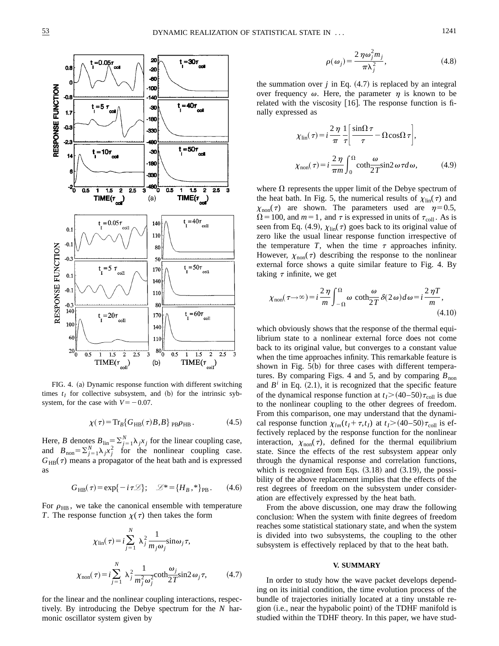

FIG. 4. (a) Dynamic response function with different switching times  $t_I$  for collective subsystem, and (b) for the intrinsic sybsystem, for the case with  $V = -0.07$ .

$$
\chi(\tau) = \text{Tr}_B\{G_{\text{HB}}(\tau)B, B\}_{\text{PB}}\rho_{\text{HB}}.\tag{4.5}
$$

Here, *B* denotes  $B_{\text{lin}} = \sum_{j=1}^{N} \lambda_j x_j$  for the linear coupling case, and  $B_{\text{non}} = \sum_{j=1}^{N} \lambda_j x_j^2$  for the nonlinear coupling case.  $G_{HB}(\tau)$  means a propagator of the heat bath and is expressed as

$$
G_{\rm HB}(\tau) = \exp\{-i\tau\mathcal{L}\}; \quad \mathcal{L}^* = \{H_B, ^*\}_{\rm PB}. \tag{4.6}
$$

For  $\rho_{HB}$ , we take the canonical ensemble with temperature *T*. The response function  $\chi(\tau)$  then takes the form

$$
\chi_{\text{lin}}(\tau) = i \sum_{j=1}^{N} \lambda_j^2 \frac{1}{m_j \omega_j} \sin \omega_j \tau,
$$
  

$$
\chi_{\text{non}}(\tau) = i \sum_{j=1}^{N} \lambda_j^2 \frac{1}{m_j^2 \omega_j^2} \coth \frac{\omega_j}{2T} \sin 2 \omega_j \tau,
$$
 (4.7)

for the linear and the nonlinear coupling interactions, respectively. By introducing the Debye spectrum for the *N* harmonic oscillator system given by

$$
\rho(\omega_j) = \frac{2 \eta \omega_j^2 m_j}{\pi \lambda_j^2},\tag{4.8}
$$

the summation over  $j$  in Eq.  $(4.7)$  is replaced by an integral over frequency  $\omega$ . Here, the parameter  $\eta$  is known to be related with the viscosity  $[16]$ . The response function is finally expressed as

$$
\chi_{\text{lin}}(\tau) = i \frac{2 \eta}{\pi} \frac{1}{\tau} \left[ \frac{\sin \Omega \tau}{\tau} - \Omega \cos \Omega \tau \right],
$$
  

$$
\chi_{\text{non}}(\tau) = i \frac{2 \eta}{\pi m} \int_0^{\Omega} \coth \frac{\omega}{2T} \sin 2\omega \tau d\omega,
$$
 (4.9)

where  $\Omega$  represents the upper limit of the Debye spectrum of the heat bath. In Fig. 5, the numerical results of  $\chi_{lin}(\tau)$  and  $\chi_{\text{non}}(\tau)$  are shown. The parameters used are  $\eta=0.5$ ,  $\Omega = 100$ , and  $m = 1$ , and  $\tau$  is expressed in units of  $\tau_{\text{coll}}$ . As is seen from Eq. (4.9),  $\chi_{lin}(\tau)$  goes back to its original value of zero like the usual linear response function irrespective of the temperature  $T$ , when the time  $\tau$  approaches infinity. However,  $\chi_{\text{non}}(\tau)$  describing the response to the nonlinear external force shows a quite similar feature to Fig. 4. By taking  $\tau$  infinite, we get

$$
\chi_{\text{non}}(\tau \to \infty) = i \frac{2 \eta}{m} \int_{-\Omega}^{\Omega} \omega \ \text{coth} \frac{\omega}{2T} \delta(2 \omega) d\omega = i \frac{2 \eta T}{m},\tag{4.10}
$$

which obviously shows that the response of the thermal equilibrium state to a nonlinear external force does not come back to its original value, but converges to a constant value when the time approaches infinity. This remarkable feature is shown in Fig.  $5(b)$  for three cases with different temperatures. By comparing Figs. 4 and 5, and by comparing  $B_{\text{non}}$ and  $B^i$  in Eq. (2.1), it is recognized that the specific feature of the dynamical response function at  $t_1 > (40-50)\tau_{\text{coll}}$  is due to the nonlinear coupling to the other degrees of freedom. From this comparison, one may understand that the dynamical response function  $\chi_{lm}(t_I + \tau, t_I)$  at  $t_I > (40-50)\tau_{coll}$  is effectively replaced by the response function for the nonlinear interaction,  $\chi_{\text{non}}(\tau)$ , defined for the thermal equilibrium state. Since the effects of the rest subsystem appear only through the dynamical response and correlation functions, which is recognized from Eqs.  $(3.18)$  and  $(3.19)$ , the possibility of the above replacement implies that the effects of the rest degrees of freedom on the subsystem under consideration are effectively expressed by the heat bath.

From the above discussion, one may draw the following conclusion: When the system with finite degrees of freedom reaches some statistical stationary state, and when the system is divided into two subsystems, the coupling to the other subsystem is effectively replaced by that to the heat bath.

## **V. SUMMARY**

In order to study how the wave packet develops depending on its initial condition, the time evolution process of the bundle of trajectories initially located at a tiny unstable region (i.e., near the hypabolic point) of the TDHF manifold is studied within the TDHF theory. In this paper, we have stud-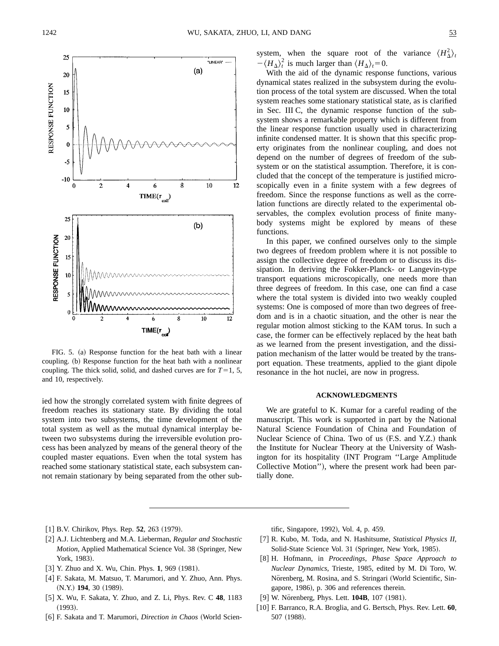

FIG. 5. (a) Response function for the heat bath with a linear coupling. (b) Response function for the heat bath with a nonlinear coupling. The thick solid, solid, and dashed curves are for  $T=1, 5$ , and 10, respectively.

ied how the strongly correlated system with finite degrees of freedom reaches its stationary state. By dividing the total system into two subsystems, the time development of the total system as well as the mutual dynamical interplay between two subsystems during the irreversible evolution process has been analyzed by means of the general theory of the coupled master equations. Even when the total system has reached some stationary statistical state, each subsystem cannot remain stationary by being separated from the other subsystem, when the square root of the variance  $\langle H_{\Delta}^2 \rangle_t$  $-\langle H_{\Delta}\rangle_t^2$  is much larger than  $\langle H_{\Delta}\rangle_t = 0$ .

With the aid of the dynamic response functions, various dynamical states realized in the subsystem during the evolution process of the total system are discussed. When the total system reaches some stationary statistical state, as is clarified in Sec. III C, the dynamic response function of the subsystem shows a remarkable property which is different from the linear response function usually used in characterizing infinite condensed matter. It is shown that this specific property originates from the nonlinear coupling, and does not depend on the number of degrees of freedom of the subsystem or on the statistical assumption. Therefore, it is concluded that the concept of the temperature is justified microscopically even in a finite system with a few degrees of freedom. Since the response functions as well as the correlation functions are directly related to the experimental observables, the complex evolution process of finite manybody systems might be explored by means of these functions.

In this paper, we confined ourselves only to the simple two degrees of freedom problem where it is not possible to assign the collective degree of freedom or to discuss its dissipation. In deriving the Fokker-Planck- or Langevin-type transport equations microscopically, one needs more than three degrees of freedom. In this case, one can find a case where the total system is divided into two weakly coupled systems: One is composed of more than two degrees of freedom and is in a chaotic situation, and the other is near the regular motion almost sticking to the KAM torus. In such a case, the former can be effectively replaced by the heat bath as we learned from the present investigation, and the dissipation mechanism of the latter would be treated by the transport equation. These treatments, applied to the giant dipole resonance in the hot nuclei, are now in progress.

## **ACKNOWLEDGMENTS**

We are grateful to K. Kumar for a careful reading of the manuscript. This work is supported in part by the National Natural Science Foundation of China and Foundation of Nuclear Science of China. Two of us (F.S. and Y.Z.) thank the Institute for Nuclear Theory at the University of Washington for its hospitality (INT Program "Large Amplitude Collective Motion"), where the present work had been partially done.

- [1] B.V. Chirikov, Phys. Rep. **52**, 263 (1979).
- [2] A.J. Lichtenberg and M.A. Lieberman, *Regular and Stochastic Motion*, Applied Mathematical Science Vol. 38 (Springer, New York, 1983).
- [3] Y. Zhuo and X. Wu, Chin. Phys. 1, 969 (1981).
- [4] F. Sakata, M. Matsuo, T. Marumori, and Y. Zhuo, Ann. Phys. (N.Y.) **194**, 30 (1989).
- @5# X. Wu, F. Sakata, Y. Zhuo, and Z. Li, Phys. Rev. C **48**, 1183  $(1993).$
- [6] F. Sakata and T. Marumori, *Direction in Chaos* (World Scien-

tific, Singapore, 1992), Vol. 4, p. 459.

- @7# R. Kubo, M. Toda, and N. Hashitsume, *Statistical Physics II*, Solid-State Science Vol. 31 (Springer, New York, 1985).
- [8] H. Hofmann, in *Proceedings, Phase Space Approach to Nuclear Dynamics*, Trieste, 1985, edited by M. Di Toro, W. Nörenberg, M. Rosina, and S. Stringari (World Scientific, Singapore, 1986), p. 306 and references therein.
- [9] W. Nörenberg, Phys. Lett. **104B**, 107 (1981).
- [10] F. Barranco, R.A. Broglia, and G. Bertsch, Phys. Rev. Lett. **60**, 507 (1988).